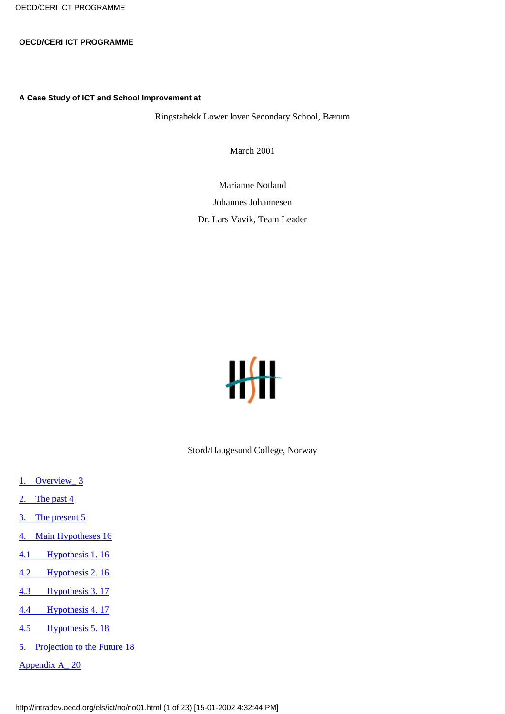OECD/CERI ICT PROGRAMME

### **OECD/CERI ICT PROGRAMME**

**A Case Study of ICT and School Improvement at**

Ringstabekk Lower lover Secondary School, Bærum

March 2001

Marianne Notland

Johannes Johannesen

Dr. Lars Vavik, Team Leader



Stord/Haugesund College, Norway

- [1. Overview\\_ 3](#page-1-0)
- [2. The past 4](#page-2-0)
- [3. The present 5](#page-4-0)
- [4. Main Hypotheses 16](#page-14-0)
- [4.1 Hypothesis 1. 16](#page-14-1)
- [4.2 Hypothesis 2. 16](#page-15-0)
- [4.3 Hypothesis 3. 17](#page-16-0)
- [4.4 Hypothesis 4. 17](#page-16-1)
- [4.5 Hypothesis 5. 18](#page-16-2)
- [5. Projection to the Future 18](#page-17-0)
- [Appendix A\\_ 20](#page-18-0)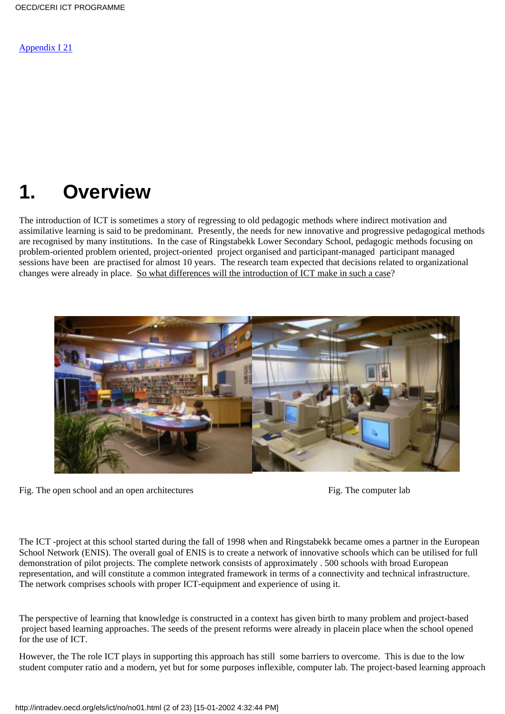[Appendix I 21](#page-19-0)

# <span id="page-1-0"></span>**1. Overview**

The introduction of ICT is sometimes a story of regressing to old pedagogic methods where indirect motivation and assimilative learning is said to be predominant. Presently, the needs for new innovative and progressive pedagogical methods are recognised by many institutions. In the case of Ringstabekk Lower Secondary School, pedagogic methods focusing on problem-oriented problem oriented, project-oriented project organised and participant-managed participant managed sessions have been are practised for almost 10 years. The research team expected that decisions related to organizational changes were already in place. So what differences will the introduction of ICT make in such a case?



Fig. The open school and an open architectures Fig. The computer lab



The ICT -project at this school started during the fall of 1998 when and Ringstabekk became omes a partner in the European School Network (ENIS). The overall goal of ENIS is to create a network of innovative schools which can be utilised for full demonstration of pilot projects. The complete network consists of approximately . 500 schools with broad European representation, and will constitute a common integrated framework in terms of a connectivity and technical infrastructure. The network comprises schools with proper ICT-equipment and experience of using it.

The perspective of learning that knowledge is constructed in a context has given birth to many problem and project-based project based learning approaches. The seeds of the present reforms were already in placein place when the school opened for the use of ICT.

However, the The role ICT plays in supporting this approach has still some barriers to overcome. This is due to the low student computer ratio and a modern, yet but for some purposes inflexible, computer lab. The project-based learning approach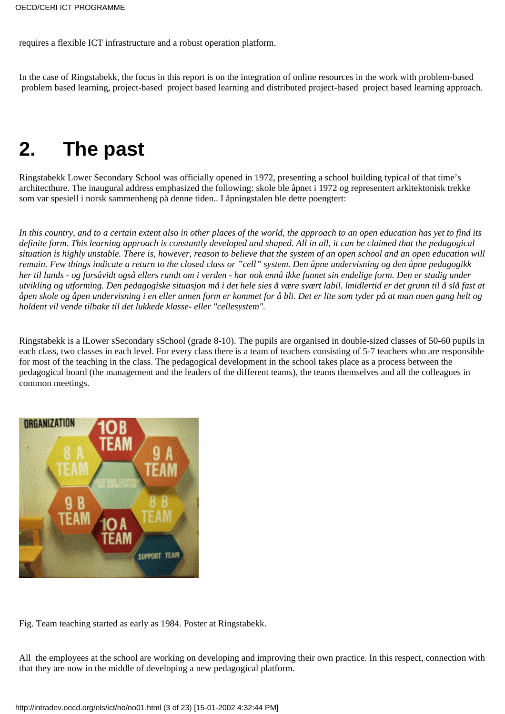requires a flexible ICT infrastructure and a robust operation platform.

In the case of Ringstabekk, the focus in this report is on the integration of online resources in the work with problem-based problem based learning, project-based project based learning and distributed project-based project based learning approach.

# <span id="page-2-0"></span>**2. The past**

Ringstabekk Lower Secondary School was officially opened in 1972, presenting a school building typical of that time's architecthure. The inaugural address emphasized the following: skole ble åpnet i 1972 og representert arkitektonisk trekke som var spesiell i norsk sammenheng på denne tiden.. I åpningstalen ble dette poengtert:

*In this country, and to a certain extent also in other places of the world, the approach to an open education has yet to find its definite form. This learning approach is constantly developed and shaped. All in all, it can be claimed that the pedagogical situation is highly unstable. There is, however, reason to believe that the system of an open school and an open education will remain. Few things indicate a return to the closed class or "cell" system. Den åpne undervisning og den åpne pedagogikk her til lands - og forsåvidt også ellers rundt om i verden - har nok ennå ikke funnet sin endelige form. Den er stadig under utvikling og utforming. Den pedagogiske situasjon må i det hele sies å være svært labil. lmidlertid er det grunn til å slå fast at åpen skole og åpen undervisning i en eller annen form er kommet for å bli. Det er lite som tyder på at man noen gang helt og holdent vil vende tilbake til det lukkede klasse- eller "cellesystem".*

Ringstabekk is a lLower sSecondary sSchool (grade 8-10). The pupils are organised in double-sized classes of 50-60 pupils in each class, two classes in each level. For every class there is a team of teachers consisting of 5-7 teachers who are responsible for most of the teaching in the class. The pedagogical development in the school takes place as a process between the pedagogical board (the management and the leaders of the different teams), the teams themselves and all the colleagues in common meetings.



Fig. Team teaching started as early as 1984. Poster at Ringstabekk.

All the employees at the school are working on developing and improving their own practice. In this respect, connection with that they are now in the middle of developing a new pedagogical platform.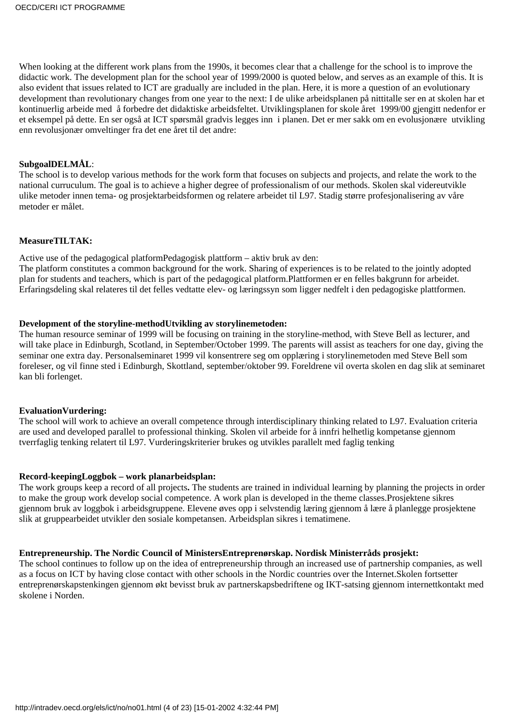When looking at the different work plans from the 1990s, it becomes clear that a challenge for the school is to improve the didactic work. The development plan for the school year of 1999/2000 is quoted below, and serves as an example of this. It is also evident that issues related to ICT are gradually are included in the plan. Here, it is more a question of an evolutionary development than revolutionary changes from one year to the next: I de ulike arbeidsplanen på nittitalle ser en at skolen har et kontinuerlig arbeide med å forbedre det didaktiske arbeidsfeltet. Utviklingsplanen for skole året 1999/00 gjengitt nedenfor er et eksempel på dette. En ser også at ICT spørsmål gradvis legges inn i planen. Det er mer sakk om en evolusjonære utvikling enn revolusjonær omveltinger fra det ene året til det andre:

# **SubgoalDELMÅL**:

The school is to develop various methods for the work form that focuses on subjects and projects, and relate the work to the national curruculum. The goal is to achieve a higher degree of professionalism of our methods. Skolen skal videreutvikle ulike metoder innen tema- og prosjektarbeidsformen og relatere arbeidet til L97. Stadig større profesjonalisering av våre metoder er målet.

## **MeasureTILTAK:**

Active use of the pedagogical platformPedagogisk plattform – aktiv bruk av den:

The platform constitutes a common background for the work. Sharing of experiences is to be related to the jointly adopted plan for students and teachers, which is part of the pedagogical platform.Plattformen er en felles bakgrunn for arbeidet. Erfaringsdeling skal relateres til det felles vedtatte elev- og læringssyn som ligger nedfelt i den pedagogiske plattformen.

### **Development of the storyline-methodUtvikling av storylinemetoden:**

The human resource seminar of 1999 will be focusing on training in the storyline-method, with Steve Bell as lecturer, and will take place in Edinburgh, Scotland, in September/October 1999. The parents will assist as teachers for one day, giving the seminar one extra day. Personalseminaret 1999 vil konsentrere seg om opplæring i storylinemetoden med Steve Bell som foreleser, og vil finne sted i Edinburgh, Skottland, september/oktober 99. Foreldrene vil overta skolen en dag slik at seminaret kan bli forlenget.

## **EvaluationVurdering:**

The school will work to achieve an overall competence through interdisciplinary thinking related to L97. Evaluation criteria are used and developed parallel to professional thinking. Skolen vil arbeide for å innfri helhetlig kompetanse gjennom tverrfaglig tenking relatert til L97. Vurderingskriterier brukes og utvikles parallelt med faglig tenking

### **Record-keepingLoggbok – work planarbeidsplan:**

The work groups keep a record of all projects**.** The students are trained in individual learning by planning the projects in order to make the group work develop social competence. A work plan is developed in the theme classes.Prosjektene sikres gjennom bruk av loggbok i arbeidsgruppene. Elevene øves opp i selvstendig læring gjennom å lære å planlegge prosjektene slik at gruppearbeidet utvikler den sosiale kompetansen. Arbeidsplan sikres i tematimene.

## **Entrepreneurship. The Nordic Council of MinistersEntreprenørskap. Nordisk Ministerråds prosjekt:**

The school continues to follow up on the idea of entrepreneurship through an increased use of partnership companies, as well as a focus on ICT by having close contact with other schools in the Nordic countries over the Internet.Skolen fortsetter entreprenørskapstenkingen gjennom økt bevisst bruk av partnerskapsbedriftene og IKT-satsing gjennom internettkontakt med skolene i Norden.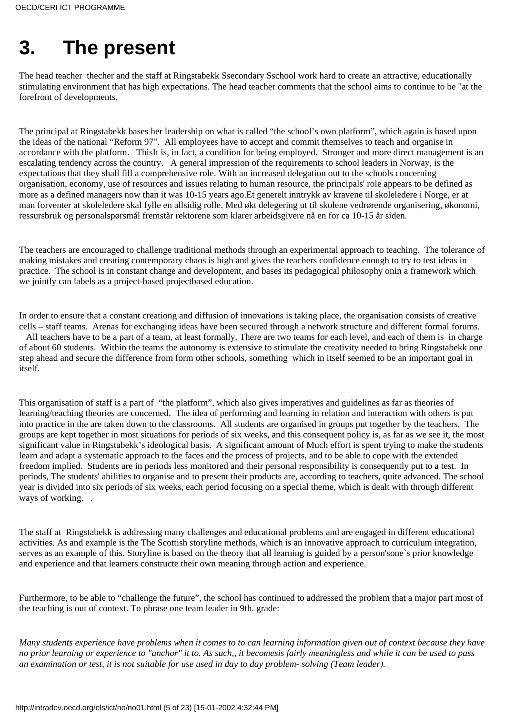# <span id="page-4-0"></span>**3. The present**

The head teacher thecher and the staff at Ringstabekk Ssecondary Sschool work hard to create an attractive, educationally stimulating environment that has high expectations. The head teacher comments that the school aims to continue to be "at the forefront of developments.

The principal at Ringstabekk bases her leadership on what is called "the school's own platform", which again is based upon the ideas of the national "Reform 97". All employees have to accept and commit themselves to teach and organise in accordance with the platform. ThisIt is, in fact, a condition for being employed. Stronger and more direct management is an escalating tendency across the country. A general impression of the requirements to school leaders in Norway, is the expectations that they shall fill a comprehensive role. With an increased delegation out to the schools concerning organisation, economy, use of resources and issues relating to human resource, the principals' role appears to be defined as more as a defined managers now than it was 10-15 years ago.Et generelt inntrykk av kravene til skoleledere i Norge, er at man forventer at skoleledere skal fylle en allsidig rolle. Med økt delegering ut til skolene vedrørende organisering, økonomi, ressursbruk og personalspørsmål fremstår rektorene som klarer arbeidsgivere nå en for ca 10-15 år siden.

The teachers are encouraged to challenge traditional methods through an experimental approach to teaching. The tolerance of making mistakes and creating contemporary chaos is high and gives the teachers confidence enough to try to test ideas in practice. The school is in constant change and development, and bases its pedagogical philosophy onin a framework which we jointly can labels as a project-based projectbased education.

In order to ensure that a constant creationg and diffusion of innovations is taking place, the organisation consists of creative cells – staff teams. Arenas for exchanging ideas have been secured through a network structure and different formal forums.

 All teachers have to be a part of a team, at least formally. There are two teams for each level, and each of them is in charge of about 60 students. Within the teams the autonomy is extensive to stimulate the creativity needed to bring Ringstabekk one step ahead and secure the difference from form other schools, something which in itself seemed to be an important goal in itself.

This organisation of staff is a part of "the platform", which also gives imperatives and guidelines as far as theories of learning/teaching theories are concerned. The idea of performing and learning in relation and interaction with others is put into practice in the are taken down to the classrooms. All students are organised in groups put together by the teachers. The groups are kept together in most situations for periods of six weeks, and this consequent policy is, as far as we see it, the most significant value in Ringstabekk's ideological basis. A significant amount of Much effort is spent trying to make the students learn and adapt a systematic approach to the faces and the process of projects, and to be able to cope with the extended freedom implied. Students are in periods less monitored and their personal responsibility is consequently put to a test. In periods, The students' abilities to organise and to present their products are, according to teachers, quite advanced. The school year is divided into six periods of six weeks, each period focusing on a special theme, which is dealt with through different ways of working...

The staff at Ringstabekk is addressing many challenges and educational problems and are engaged in different educational activities. As and example is the The Scottish storyline methods, which is an innovative approach to curriculum integration, serves as an example of this. Storyline is based on the theory that all learning is guided by a person'sone`s prior knowledge and experience and that learners constructe their own meaning through action and experience.

Furthermore, to be able to "challenge the future", the school has continued to addressed the problem that a major part most of the teaching is out of context. To phrase one team leader in 9th. grade:

*Many students experience have problems when it comes to to can learning information given out of context because they have no prior learning or experience to "anchor" it to. As such,, it becomesis fairly meaningless and while it can be used to pass an examination or test, it is not suitable for use used in day to day problem- solving (Team leader).*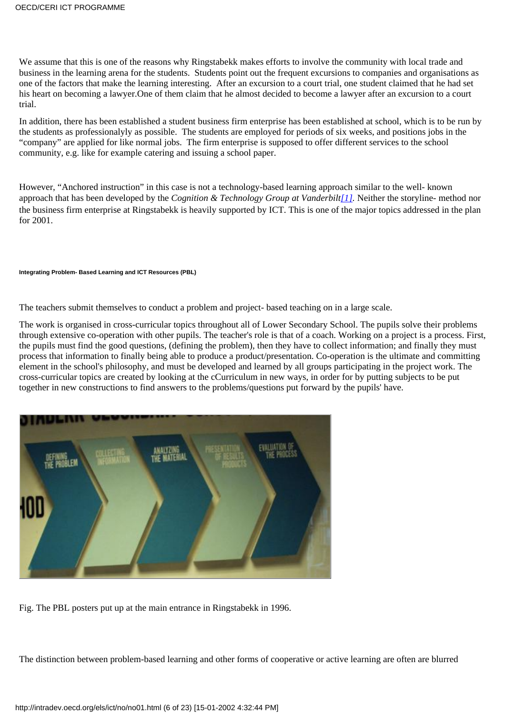We assume that this is one of the reasons why Ringstabekk makes efforts to involve the community with local trade and business in the learning arena for the students. Students point out the frequent excursions to companies and organisations as one of the factors that make the learning interesting. After an excursion to a court trial, one student claimed that he had set his heart on becoming a lawyer.One of them claim that he almost decided to become a lawyer after an excursion to a court trial.

In addition, there has been established a student business firm enterprise has been established at school, which is to be run by the students as professionalyly as possible. The students are employed for periods of six weeks, and positions jobs in the "company" are applied for like normal jobs. The firm enterprise is supposed to offer different services to the school community, e.g. like for example catering and issuing a school paper.

<span id="page-5-0"></span>However, "Anchored instruction" in this case is not a technology-based learning approach similar to the well- known approach that has been developed by the *Cognition & Technology Group at Vanderbilt[\[1\]](#page-22-0).* Neither the storyline- method nor the business firm enterprise at Ringstabekk is heavily supported by ICT. This is one of the major topics addressed in the plan for 2001.

#### **Integrating Problem- Based Learning and ICT Resources (PBL)**

The teachers submit themselves to conduct a problem and project- based teaching on in a large scale.

The work is organised in cross-curricular topics throughout all of Lower Secondary School. The pupils solve their problems through extensive co-operation with other pupils. The teacher's role is that of a coach. Working on a project is a process. First, the pupils must find the good questions, (defining the problem), then they have to collect information; and finally they must process that information to finally being able to produce a product/presentation. Co-operation is the ultimate and committing element in the school's philosophy, and must be developed and learned by all groups participating in the project work. The cross-curricular topics are created by looking at the cCurriculum in new ways, in order for by putting subjects to be put together in new constructions to find answers to the problems/questions put forward by the pupils' have.



Fig. The PBL posters put up at the main entrance in Ringstabekk in 1996.

The distinction between problem-based learning and other forms of cooperative or active learning are often are blurred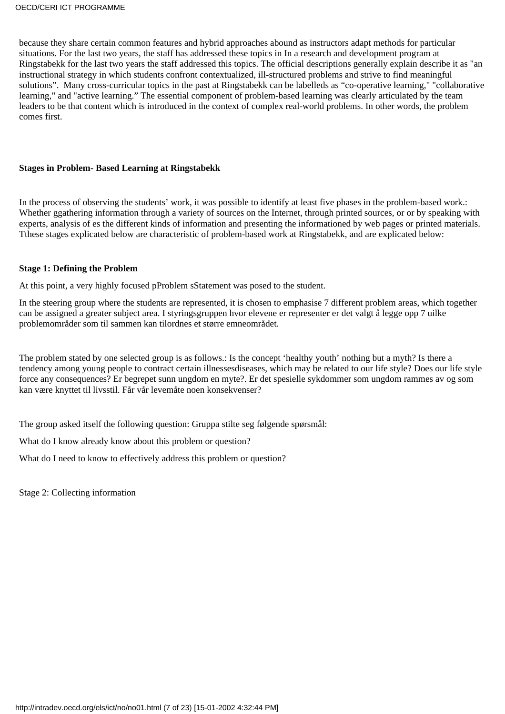because they share certain common features and hybrid approaches abound as instructors adapt methods for particular situations. For the last two years, the staff has addressed these topics in In a research and development program at Ringstabekk for the last two years the staff addressed this topics. The official descriptions generally explain describe it as "an instructional strategy in which students confront contextualized, ill-structured problems and strive to find meaningful solutions". Many cross-curricular topics in the past at Ringstabekk can be labelleds as "co-operative learning," "collaborative learning," and "active learning." The essential component of problem-based learning was clearly articulated by the team leaders to be that content which is introduced in the context of complex real-world problems. In other words, the problem comes first.

## **Stages in Problem- Based Learning at Ringstabekk**

In the process of observing the students' work, it was possible to identify at least five phases in the problem-based work.: Whether ggathering information through a variety of sources on the Internet, through printed sources, or or by speaking with experts, analysis of es the different kinds of information and presenting the informationed by web pages or printed materials. Tthese stages explicated below are characteristic of problem-based work at Ringstabekk, and are explicated below:

### **Stage 1: Defining the Problem**

At this point, a very highly focused pProblem sStatement was posed to the student.

In the steering group where the students are represented, it is chosen to emphasise 7 different problem areas, which together can be assigned a greater subject area. I styringsgruppen hvor elevene er representer er det valgt å legge opp 7 uilke problemområder som til sammen kan tilordnes et større emneområdet.

The problem stated by one selected group is as follows.: Is the concept 'healthy youth' nothing but a myth? Is there a tendency among young people to contract certain illnessesdiseases, which may be related to our life style? Does our life style force any consequences? Er begrepet sunn ungdom en myte?. Er det spesielle sykdommer som ungdom rammes av og som kan være knyttet til livsstil. Får vår levemåte noen konsekvenser?

The group asked itself the following question: Gruppa stilte seg følgende spørsmål:

What do I know already know about this problem or question?

What do I need to know to effectively address this problem or question?

Stage 2: Collecting information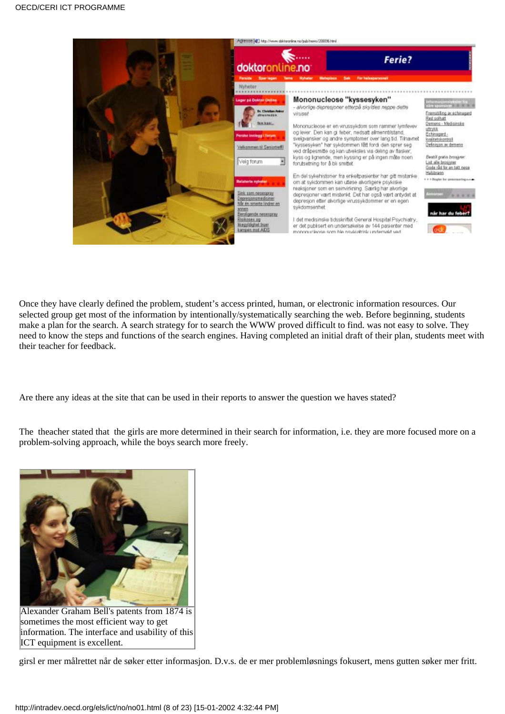

Once they have clearly defined the problem, student's access printed, human, or electronic information resources. Our selected group get most of the information by intentionally/systematically searching the web. Before beginning, students make a plan for the search. A search strategy for to search the WWW proved difficult to find. was not easy to solve. They need to know the steps and functions of the search engines. Having completed an initial draft of their plan, students meet with their teacher for feedback.

Are there any ideas at the site that can be used in their reports to answer the question we haves stated?

The theacher stated that the girls are more determined in their search for information, i.e. they are more focused more on a problem-solving approach, while the boys search more freely.



Alexander Graham Bell's patents from 1874 is sometimes the most efficient way to get information. The interface and usability of this ICT equipment is excellent.

girsl er mer målrettet når de søker etter informasjon. D.v.s. de er mer problemløsnings fokusert, mens gutten søker mer fritt.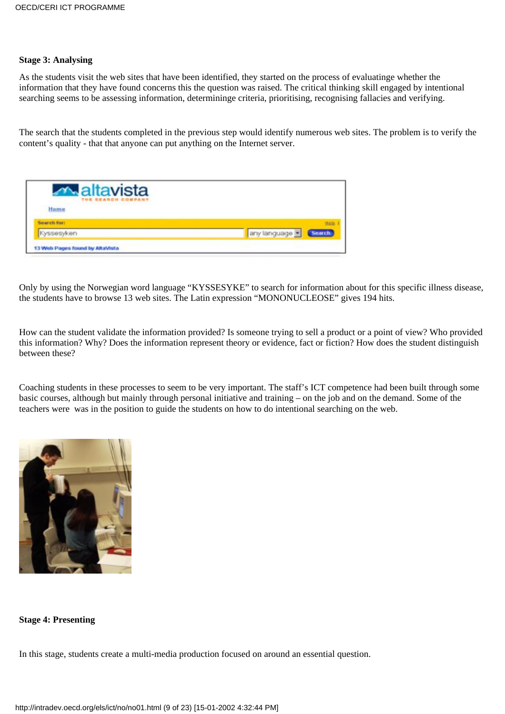## **Stage 3: Analysing**

As the students visit the web sites that have been identified, they started on the process of evaluatinge whether the information that they have found concerns this the question was raised. The critical thinking skill engaged by intentional searching seems to be assessing information, determininge criteria, prioritising, recognising fallacies and verifying.

The search that the students completed in the previous step would identify numerous web sites. The problem is to verify the content's quality - that that anyone can put anything on the Internet server.



Only by using the Norwegian word language "KYSSESYKE" to search for information about for this specific illness disease, the students have to browse 13 web sites. The Latin expression "MONONUCLEOSE" gives 194 hits.

How can the student validate the information provided? Is someone trying to sell a product or a point of view? Who provided this information? Why? Does the information represent theory or evidence, fact or fiction? How does the student distinguish between these?

Coaching students in these processes to seem to be very important. The staff's ICT competence had been built through some basic courses, although but mainly through personal initiative and training – on the job and on the demand. Some of the teachers were was in the position to guide the students on how to do intentional searching on the web.



## **Stage 4: Presenting**

In this stage, students create a multi-media production focused on around an essential question.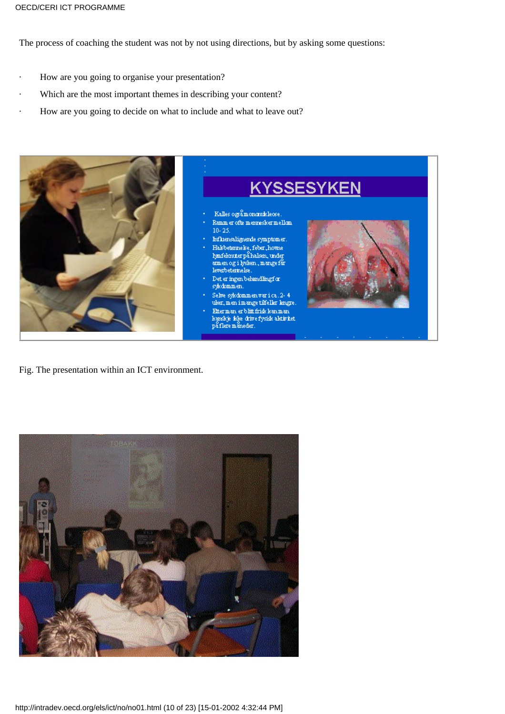The process of coaching the student was not by not using directions, but by asking some questions:

- How are you going to organise your presentation?
- Which are the most important themes in describing your content?
- How are you going to decide on what to include and what to leave out?



Fig. The presentation within an ICT environment.

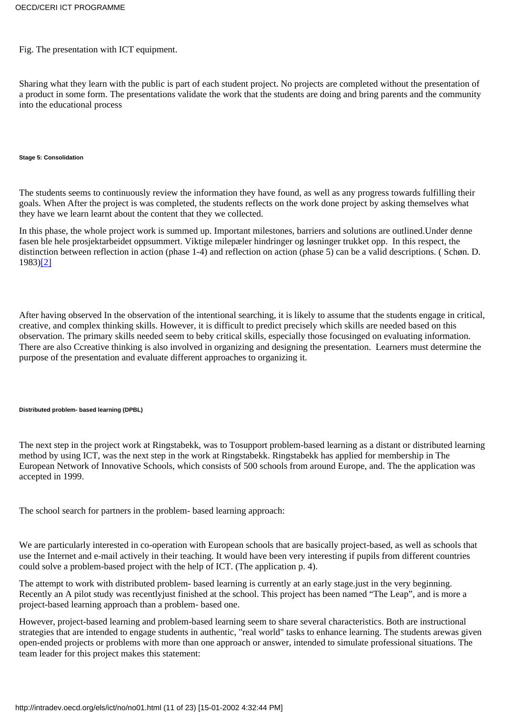### Fig. The presentation with ICT equipment.

Sharing what they learn with the public is part of each student project. No projects are completed without the presentation of a product in some form. The presentations validate the work that the students are doing and bring parents and the community into the educational process

#### **Stage 5: Consolidation**

The students seems to continuously review the information they have found, as well as any progress towards fulfilling their goals. When After the project is was completed, the students reflects on the work done project by asking themselves what they have we learn learnt about the content that they we collected.

<span id="page-10-0"></span>In this phase, the whole project work is summed up. Important milestones, barriers and solutions are outlined.Under denne fasen ble hele prosjektarbeidet oppsummert. Viktige milepæler hindringer og løsninger trukket opp. In this respect, the distinction between reflection in action (phase 1-4) and reflection on action (phase 5) can be a valid descriptions. ( Schøn. D. 1983)[\[2\]](#page-22-1)

After having observed In the observation of the intentional searching, it is likely to assume that the students engage in critical, creative, and complex thinking skills. However, it is difficult to predict precisely which skills are needed based on this observation. The primary skills needed seem to beby critical skills, especially those focusinged on evaluating information. There are also Ccreative thinking is also involved in organizing and designing the presentation. Learners must determine the purpose of the presentation and evaluate different approaches to organizing it.

#### **Distributed problem- based learning (DPBL)**

The next step in the project work at Ringstabekk, was to Tosupport problem-based learning as a distant or distributed learning method by using ICT, was the next step in the work at Ringstabekk. Ringstabekk has applied for membership in The European Network of Innovative Schools, which consists of 500 schools from around Europe, and. The the application was accepted in 1999.

The school search for partners in the problem- based learning approach:

We are particularly interested in co-operation with European schools that are basically project-based, as well as schools that use the Internet and e-mail actively in their teaching. It would have been very interesting if pupils from different countries could solve a problem-based project with the help of ICT. (The application p. 4).

The attempt to work with distributed problem- based learning is currently at an early stage.just in the very beginning. Recently an A pilot study was recentlyjust finished at the school. This project has been named "The Leap", and is more a project-based learning approach than a problem- based one.

However, project-based learning and problem-based learning seem to share several characteristics. Both are instructional strategies that are intended to engage students in authentic, "real world" tasks to enhance learning. The students arewas given open-ended projects or problems with more than one approach or answer, intended to simulate professional situations. The team leader for this project makes this statement: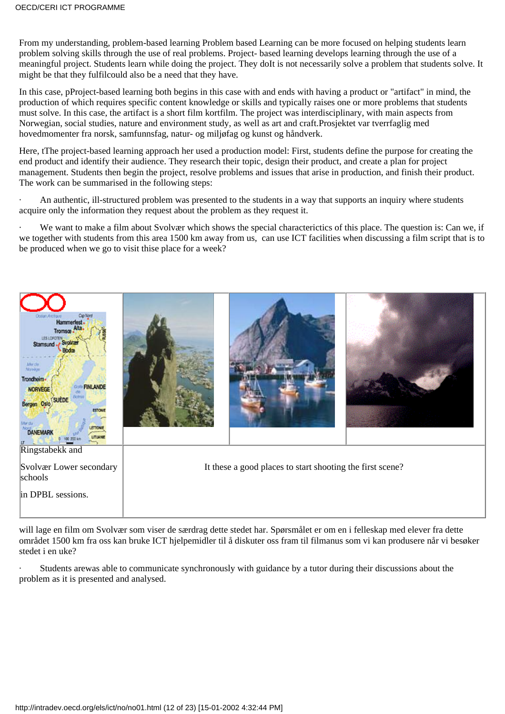From my understanding, problem-based learning Problem based Learning can be more focused on helping students learn problem solving skills through the use of real problems. Project- based learning develops learning through the use of a meaningful project. Students learn while doing the project. They doIt is not necessarily solve a problem that students solve. It might be that they fulfilcould also be a need that they have.

In this case, pProject-based learning both begins in this case with and ends with having a product or "artifact" in mind, the production of which requires specific content knowledge or skills and typically raises one or more problems that students must solve. In this case, the artifact is a short film kortfilm. The project was interdisciplinary, with main aspects from Norwegian, social studies, nature and environment study, as well as art and craft.Prosjektet var tverrfaglig med hovedmomenter fra norsk, samfunnsfag, natur- og miljøfag og kunst og håndverk.

Here, tThe project-based learning approach her used a production model: First, students define the purpose for creating the end product and identify their audience. They research their topic, design their product, and create a plan for project management. Students then begin the project, resolve problems and issues that arise in production, and finish their product. The work can be summarised in the following steps:

· An authentic, ill-structured problem was presented to the students in a way that supports an inquiry where students acquire only the information they request about the problem as they request it.

We want to make a film about Svolvær which shows the special characterictics of this place. The question is: Can we, if we together with students from this area 1500 km away from us, can use ICT facilities when discussing a film script that is to be produced when we go to visit thise place for a week?



will lage en film om Svolvær som viser de særdrag dette stedet har. Spørsmålet er om en i felleskap med elever fra dette området 1500 km fra oss kan bruke ICT hjelpemidler til å diskuter oss fram til filmanus som vi kan produsere når vi besøker stedet i en uke?

Students arewas able to communicate synchronously with guidance by a tutor during their discussions about the problem as it is presented and analysed.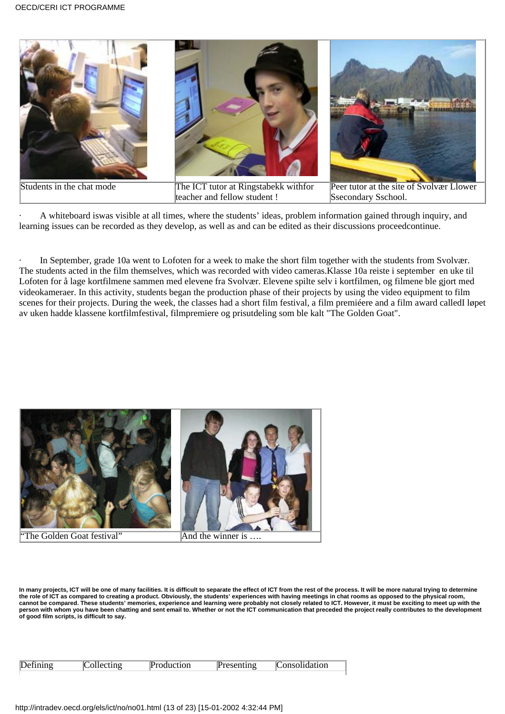

· A whiteboard iswas visible at all times, where the students' ideas, problem information gained through inquiry, and learning issues can be recorded as they develop, as well as and can be edited as their discussions proceedcontinue.

In September, grade 10a went to Lofoten for a week to make the short film together with the students from Svolvær. The students acted in the film themselves, which was recorded with video cameras.Klasse 10a reiste i september en uke til Lofoten for å lage kortfilmene sammen med elevene fra Svolvær. Elevene spilte selv i kortfilmen, og filmene ble gjort med videokameraer. In this activity, students began the production phase of their projects by using the video equipment to film scenes for their projects. During the week, the classes had a short film festival, a film premiéere and a film award calledI løpet av uken hadde klassene kortfilmfestival, filmpremiere og prisutdeling som ble kalt "The Golden Goat".



**In many projects, ICT will be one of many facilities. It is difficult to separate the effect of ICT from the rest of the process. It will be more natural trying to determine the role of ICT as compared to creating a product. Obviously, the students' experiences with having meetings in chat rooms as opposed to the physical room,** cannot be compared. These students' memories, experience and learning were probably not closely related to ICT. However, it must be exciting to meet up with the<br>person with whom you have been chatting and sent email to. Wh **of good film scripts, is difficult to say.**

| Defining | :ollecting | <b>Production</b> | $P$ resenting | <b>Consolidation</b> |
|----------|------------|-------------------|---------------|----------------------|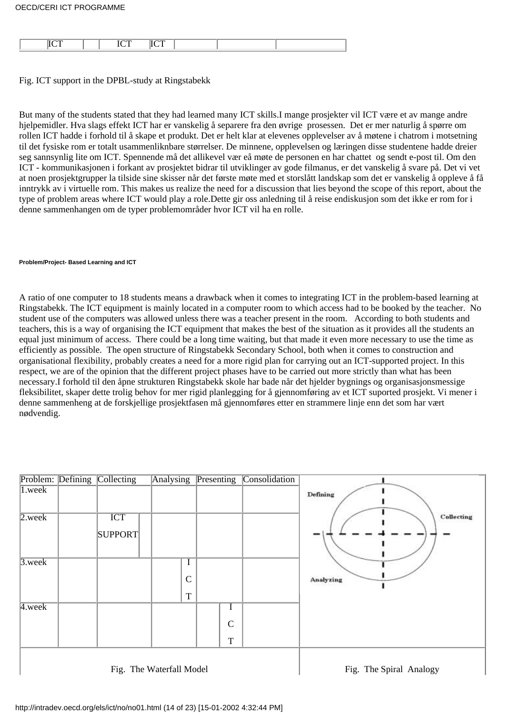Fig. ICT support in the DPBL-study at Ringstabekk

But many of the students stated that they had learned many ICT skills.I mange prosjekter vil ICT være et av mange andre hjelpemidler. Hva slags effekt ICT har er vanskelig å separere fra den øvrige prosessen. Det er mer naturlig å spørre om rollen ICT hadde i forhold til å skape et produkt. Det er helt klar at elevenes opplevelser av å møtene i chatrom i motsetning til det fysiske rom er totalt usammenliknbare størrelser. De minnene, opplevelsen og læringen disse studentene hadde dreier seg sannsynlig lite om ICT. Spennende må det allikevel vær eå møte de personen en har chattet og sendt e-post til. Om den ICT - kommunikasjonen i forkant av prosjektet bidrar til utviklinger av gode filmanus, er det vanskelig å svare på. Det vi vet at noen prosjektgrupper la tilside sine skisser når det første møte med et storslått landskap som det er vanskelig å oppleve å få inntrykk av i virtuelle rom. This makes us realize the need for a discussion that lies beyond the scope of this report, about the type of problem areas where ICT would play a role.Dette gir oss anledning til å reise endiskusjon som det ikke er rom for i denne sammenhangen om de typer problemområder hvor ICT vil ha en rolle.

#### **Problem/Project- Based Learning and ICT**

A ratio of one computer to 18 students means a drawback when it comes to integrating ICT in the problem-based learning at Ringstabekk. The ICT equipment is mainly located in a computer room to which access had to be booked by the teacher. No student use of the computers was allowed unless there was a teacher present in the room. According to both students and teachers, this is a way of organising the ICT equipment that makes the best of the situation as it provides all the students an equal just minimum of access. There could be a long time waiting, but that made it even more necessary to use the time as efficiently as possible. The open structure of Ringstabekk Secondary School, both when it comes to construction and organisational flexibility, probably creates a need for a more rigid plan for carrying out an ICT-supported project. In this respect, we are of the opinion that the different project phases have to be carried out more strictly than what has been necessary.I forhold til den åpne strukturen Ringstabekk skole har bade når det hjelder bygnings og organisasjonsmessige fleksibilitet, skaper dette trolig behov for mer rigid planlegging for å gjennomføring av et ICT suported prosjekt. Vi mener i denne sammenheng at de forskjellige prosjektfasen må gjennomføres etter en strammere linje enn det som har vært nødvendig.

|                    | Problem: Defining Collecting | Analysing Presenting              |                                        | Consolidation |                         |
|--------------------|------------------------------|-----------------------------------|----------------------------------------|---------------|-------------------------|
| $1.$ week          |                              |                                   |                                        |               | Defining                |
| $2.$ week          | <b>ICT</b><br>SUPPORT        |                                   |                                        |               | Collecting              |
| $3.$ week          |                              | I<br>$\mathcal{C}$<br>$\mathbf T$ |                                        |               | Analyzing               |
| 4. <sub>week</sub> |                              |                                   | $\bf{l}$<br>$\mathbf C$<br>$\mathbf T$ |               |                         |
|                    |                              | Fig. The Waterfall Model          |                                        |               | Fig. The Spiral Analogy |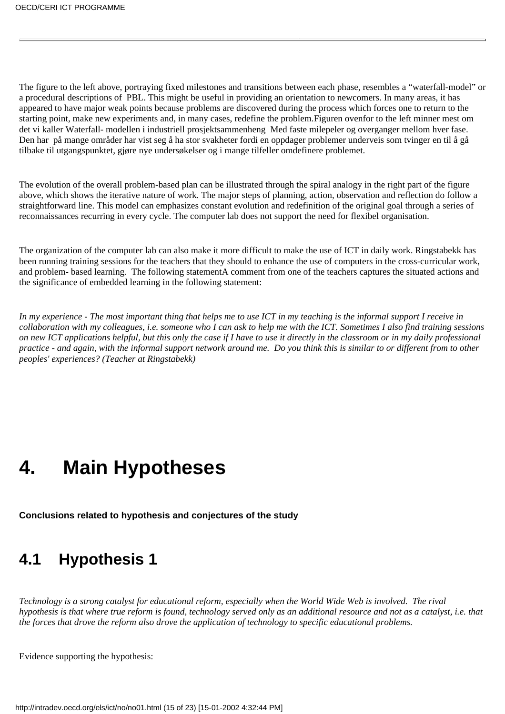The figure to the left above, portraying fixed milestones and transitions between each phase, resembles a "waterfall-model" or a procedural descriptions of PBL. This might be useful in providing an orientation to newcomers. In many areas, it has appeared to have major weak points because problems are discovered during the process which forces one to return to the starting point, make new experiments and, in many cases, redefine the problem.Figuren ovenfor to the left minner mest om det vi kaller Waterfall- modellen i industriell prosjektsammenheng Med faste milepeler og overganger mellom hver fase. Den har på mange områder har vist seg å ha stor svakheter fordi en oppdager problemer underveis som tvinger en til å gå tilbake til utgangspunktet, gjøre nye undersøkelser og i mange tilfeller omdefinere problemet.

The evolution of the overall problem-based plan can be illustrated through the spiral analogy in the right part of the figure above, which shows the iterative nature of work. The major steps of planning, action, observation and reflection do follow a straightforward line. This model can emphasizes constant evolution and redefinition of the original goal through a series of reconnaissances recurring in every cycle. The computer lab does not support the need for flexibel organisation.

The organization of the computer lab can also make it more difficult to make the use of ICT in daily work. Ringstabekk has been running training sessions for the teachers that they should to enhance the use of computers in the cross-curricular work, and problem- based learning. The following statementA comment from one of the teachers captures the situated actions and the significance of embedded learning in the following statement:

*In my experience - The most important thing that helps me to use ICT in my teaching is the informal support I receive in collaboration with my colleagues, i.e. someone who I can ask to help me with the ICT. Sometimes I also find training sessions on new ICT applications helpful, but this only the case if I have to use it directly in the classroom or in my daily professional practice - and again, with the informal support network around me. Do you think this is similar to or different from to other peoples' experiences? (Teacher at Ringstabekk)*

# <span id="page-14-0"></span>**4. Main Hypotheses**

**Conclusions related to hypothesis and conjectures of the study**

# <span id="page-14-1"></span>**4.1 Hypothesis 1**

*Technology is a strong catalyst for educational reform, especially when the World Wide Web is involved. The rival hypothesis is that where true reform is found, technology served only as an additional resource and not as a catalyst, i.e. that the forces that drove the reform also drove the application of technology to specific educational problems.*

Evidence supporting the hypothesis: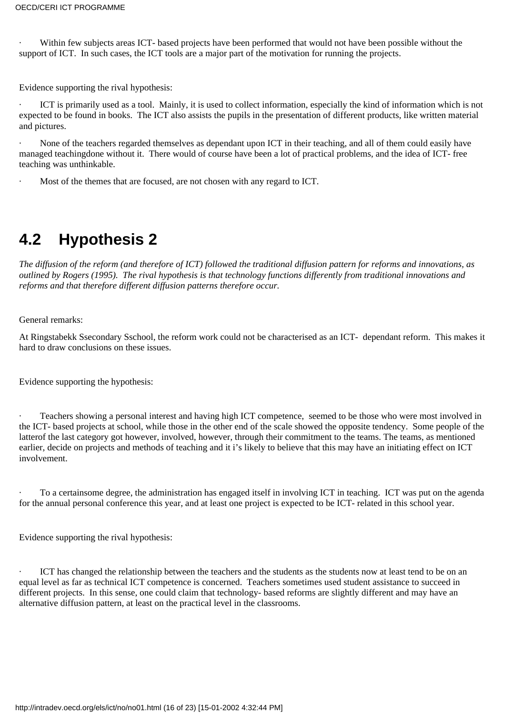Within few subjects areas ICT- based projects have been performed that would not have been possible without the support of ICT. In such cases, the ICT tools are a major part of the motivation for running the projects.

Evidence supporting the rival hypothesis:

ICT is primarily used as a tool. Mainly, it is used to collect information, especially the kind of information which is not expected to be found in books. The ICT also assists the pupils in the presentation of different products, like written material and pictures.

None of the teachers regarded themselves as dependant upon ICT in their teaching, and all of them could easily have managed teachingdone without it. There would of course have been a lot of practical problems, and the idea of ICT- free teaching was unthinkable.

Most of the themes that are focused, are not chosen with any regard to ICT.

# <span id="page-15-0"></span>**4.2 Hypothesis 2**

*The diffusion of the reform (and therefore of ICT) followed the traditional diffusion pattern for reforms and innovations, as outlined by Rogers (1995). The rival hypothesis is that technology functions differently from traditional innovations and reforms and that therefore different diffusion patterns therefore occur.*

General remarks:

At Ringstabekk Ssecondary Sschool, the reform work could not be characterised as an ICT- dependant reform. This makes it hard to draw conclusions on these issues.

Evidence supporting the hypothesis:

· Teachers showing a personal interest and having high ICT competence, seemed to be those who were most involved in the ICT- based projects at school, while those in the other end of the scale showed the opposite tendency. Some people of the latterof the last category got however, involved, however, through their commitment to the teams. The teams, as mentioned earlier, decide on projects and methods of teaching and it i's likely to believe that this may have an initiating effect on ICT involvement.

· To a certainsome degree, the administration has engaged itself in involving ICT in teaching. ICT was put on the agenda for the annual personal conference this year, and at least one project is expected to be ICT- related in this school year.

Evidence supporting the rival hypothesis:

ICT has changed the relationship between the teachers and the students as the students now at least tend to be on an equal level as far as technical ICT competence is concerned. Teachers sometimes used student assistance to succeed in different projects. In this sense, one could claim that technology- based reforms are slightly different and may have an alternative diffusion pattern, at least on the practical level in the classrooms.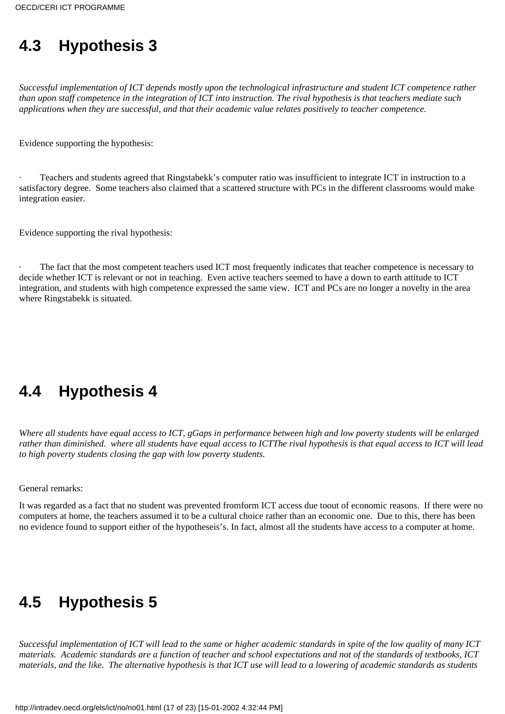# <span id="page-16-0"></span>**4.3 Hypothesis 3**

*Successful implementation of ICT depends mostly upon the technological infrastructure and student ICT competence rather than upon staff competence in the integration of ICT into instruction. The rival hypothesis is that teachers mediate such applications when they are successful, and that their academic value relates positively to teacher competence.*

Evidence supporting the hypothesis:

Teachers and students agreed that Ringstabekk's computer ratio was insufficient to integrate ICT in instruction to a satisfactory degree. Some teachers also claimed that a scattered structure with PCs in the different classrooms would make integration easier.

Evidence supporting the rival hypothesis:

The fact that the most competent teachers used ICT most frequently indicates that teacher competence is necessary to decide whether ICT is relevant or not in teaching. Even active teachers seemed to have a down to earth attitude to ICT integration, and students with high competence expressed the same view. ICT and PCs are no longer a novelty in the area where Ringstabekk is situated.

# <span id="page-16-1"></span>**4.4 Hypothesis 4**

*Where all students have equal access to ICT, gGaps in performance between high and low poverty students will be enlarged rather than diminished. where all students have equal access to ICTThe rival hypothesis is that equal access to ICT will lead to high poverty students closing the gap with low poverty students.*

General remarks:

It was regarded as a fact that no student was prevented fromform ICT access due toout of economic reasons. If there were no computers at home, the teachers assumed it to be a cultural choice rather than an economic one. Due to this, there has been no evidence found to support either of the hypotheseis's. In fact, almost all the students have access to a computer at home.

# <span id="page-16-2"></span>**4.5 Hypothesis 5**

*Successful implementation of ICT will lead to the same or higher academic standards in spite of the low quality of many ICT materials. Academic standards are a function of teacher and school expectations and not of the standards of textbooks, ICT materials, and the like. The alternative hypothesis is that ICT use will lead to a lowering of academic standards as students*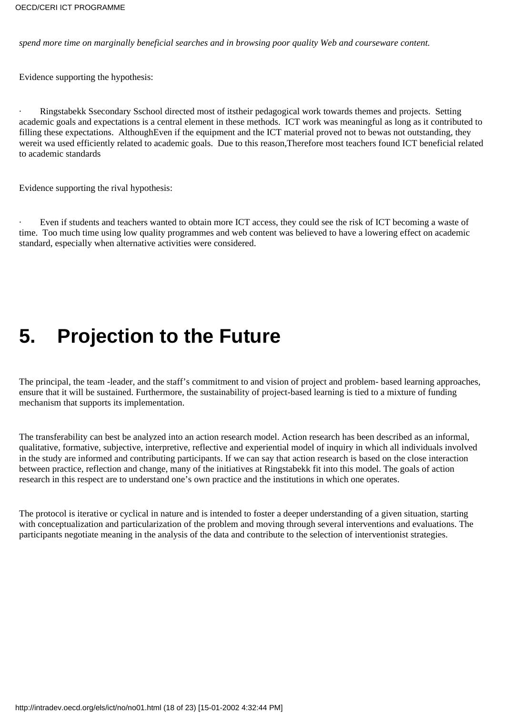*spend more time on marginally beneficial searches and in browsing poor quality Web and courseware content.*

Evidence supporting the hypothesis:

· Ringstabekk Ssecondary Sschool directed most of itstheir pedagogical work towards themes and projects. Setting academic goals and expectations is a central element in these methods. ICT work was meaningful as long as it contributed to filling these expectations. AlthoughEven if the equipment and the ICT material proved not to bewas not outstanding, they wereit wa used efficiently related to academic goals. Due to this reason,Therefore most teachers found ICT beneficial related to academic standards

Evidence supporting the rival hypothesis:

Even if students and teachers wanted to obtain more ICT access, they could see the risk of ICT becoming a waste of time. Too much time using low quality programmes and web content was believed to have a lowering effect on academic standard, especially when alternative activities were considered.

# <span id="page-17-0"></span>**5. Projection to the Future**

The principal, the team -leader, and the staff's commitment to and vision of project and problem- based learning approaches, ensure that it will be sustained. Furthermore, the sustainability of project-based learning is tied to a mixture of funding mechanism that supports its implementation.

The transferability can best be analyzed into an action research model. Action research has been described as an informal, qualitative, formative, subjective, interpretive, reflective and experiential model of inquiry in which all individuals involved in the study are informed and contributing participants. If we can say that action research is based on the close interaction between practice, reflection and change, many of the initiatives at Ringstabekk fit into this model. The goals of action research in this respect are to understand one's own practice and the institutions in which one operates.

The protocol is iterative or cyclical in nature and is intended to foster a deeper understanding of a given situation, starting with conceptualization and particularization of the problem and moving through several interventions and evaluations. The participants negotiate meaning in the analysis of the data and contribute to the selection of interventionist strategies.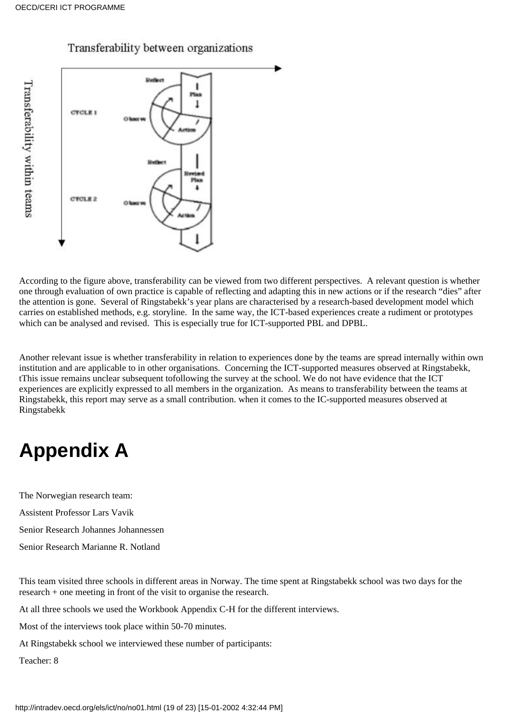

# Transferability between organizations

According to the figure above, transferability can be viewed from two different perspectives. A relevant question is whether one through evaluation of own practice is capable of reflecting and adapting this in new actions or if the research "dies" after the attention is gone. Several of Ringstabekk's year plans are characterised by a research-based development model which carries on established methods, e.g. storyline. In the same way, the ICT-based experiences create a rudiment or prototypes which can be analysed and revised. This is especially true for ICT-supported PBL and DPBL.

Another relevant issue is whether transferability in relation to experiences done by the teams are spread internally within own institution and are applicable to in other organisations. Concerning the ICT-supported measures observed at Ringstabekk, tThis issue remains unclear subsequent tofollowing the survey at the school. We do not have evidence that the ICT experiences are explicitly expressed to all members in the organization. As means to transferability between the teams at Ringstabekk, this report may serve as a small contribution. when it comes to the IC-supported measures observed at Ringstabekk

# <span id="page-18-0"></span>**Appendix A**

The Norwegian research team:

Assistent Professor Lars Vavik

Senior Research Johannes Johannessen

Senior Research Marianne R. Notland

This team visited three schools in different areas in Norway. The time spent at Ringstabekk school was two days for the research + one meeting in front of the visit to organise the research.

At all three schools we used the Workbook Appendix C-H for the different interviews.

Most of the interviews took place within 50-70 minutes.

At Ringstabekk school we interviewed these number of participants:

Teacher: 8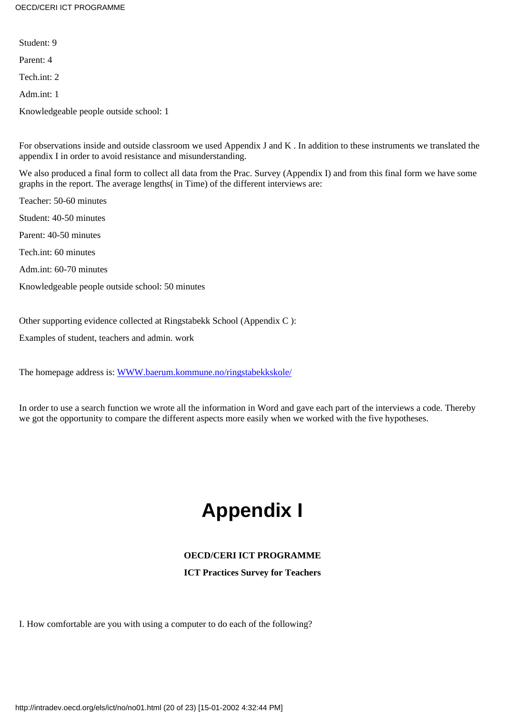OECD/CERI ICT PROGRAMME

Student: 9

Parent: 4

Tech int:  $2$ 

Adm.int: 1

Knowledgeable people outside school: 1

For observations inside and outside classroom we used Appendix J and K . In addition to these instruments we translated the appendix I in order to avoid resistance and misunderstanding.

We also produced a final form to collect all data from the Prac. Survey (Appendix I) and from this final form we have some graphs in the report. The average lengths( in Time) of the different interviews are:

Teacher: 50-60 minutes Student: 40-50 minutes Parent: 40-50 minutes Tech.int: 60 minutes

Adm.int: 60-70 minutes

Knowledgeable people outside school: 50 minutes

Other supporting evidence collected at Ringstabekk School (Appendix C ):

Examples of student, teachers and admin. work

The homepage address is: [WWW.baerum.kommune.no/ringstabekkskole/](http://www.baerum.kommune.no/ringstabekkskole/)

<span id="page-19-0"></span>In order to use a search function we wrote all the information in Word and gave each part of the interviews a code. Thereby we got the opportunity to compare the different aspects more easily when we worked with the five hypotheses.

# **Appendix I**

# **OECD/CERI ICT PROGRAMME**

**ICT Practices Survey for Teachers**

I. How comfortable are you with using a computer to do each of the following?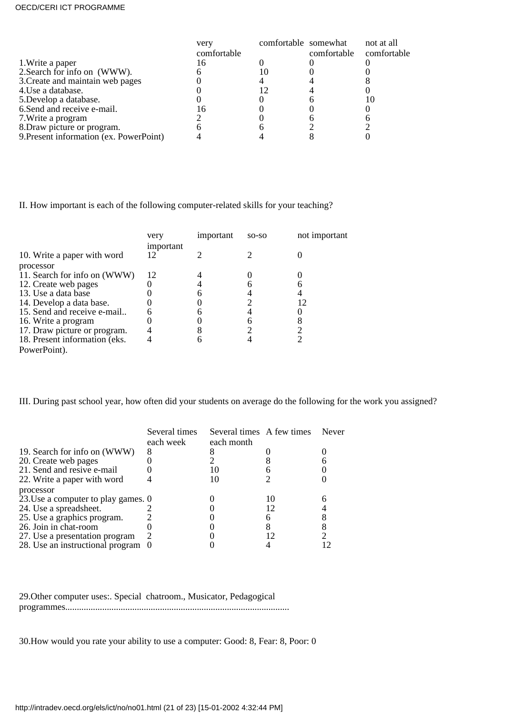### OECD/CERI ICT PROGRAMME

|                                         | very        | comfortable somewhat |             | not at all  |
|-----------------------------------------|-------------|----------------------|-------------|-------------|
|                                         | comfortable |                      | comfortable | comfortable |
| 1. Write a paper                        |             |                      |             |             |
| 2. Search for info on (WWW).            |             |                      |             |             |
| 3. Create and maintain web pages        |             |                      |             |             |
| 4. Use a database.                      |             |                      |             |             |
| 5. Develop a database.                  |             |                      |             |             |
| 6. Send and receive e-mail.             |             |                      |             |             |
| 7. Write a program                      |             |                      |             |             |
| 8. Draw picture or program.             |             |                      |             |             |
| 9. Present information (ex. PowerPoint) |             |                      |             |             |

II. How important is each of the following computer-related skills for your teaching?

|                               | very<br>important | important | $SO-SO$ | not important |
|-------------------------------|-------------------|-----------|---------|---------------|
| 10. Write a paper with word   |                   |           |         |               |
| processor                     |                   |           |         |               |
| 11. Search for info on (WWW)  | 12                |           |         |               |
| 12. Create web pages          |                   |           |         |               |
| 13. Use a data base           |                   |           |         |               |
| 14. Develop a data base.      |                   |           |         |               |
| 15. Send and receive e-mail   |                   |           |         |               |
| 16. Write a program           |                   |           |         |               |
| 17. Draw picture or program.  |                   |           |         |               |
| 18. Present information (eks. |                   |           |         |               |
| PowerPoint).                  |                   |           |         |               |

III. During past school year, how often did your students on average do the following for the work you assigned?

|                                     | Several times | Several times A few times |    | Never |
|-------------------------------------|---------------|---------------------------|----|-------|
|                                     | each week     | each month                |    |       |
| 19. Search for info on (WWW)        |               |                           |    |       |
| 20. Create web pages                |               |                           |    |       |
| 21. Send and resive e-mail          |               |                           |    |       |
| 22. Write a paper with word         |               |                           |    |       |
| processor                           |               |                           |    |       |
| 23. Use a computer to play games. 0 |               |                           | 10 |       |
| 24. Use a spreadsheet.              |               |                           |    |       |
| 25. Use a graphics program.         |               |                           |    |       |
| 26. Join in chat-room               |               |                           |    |       |
| 27. Use a presentation program      | 2             |                           |    |       |
| 28. Use an instructional program 0  |               |                           |    |       |

29.Other computer uses:. Special chatroom., Musicator, Pedagogical programmes.................................................................................................

30.How would you rate your ability to use a computer: Good: 8, Fear: 8, Poor: 0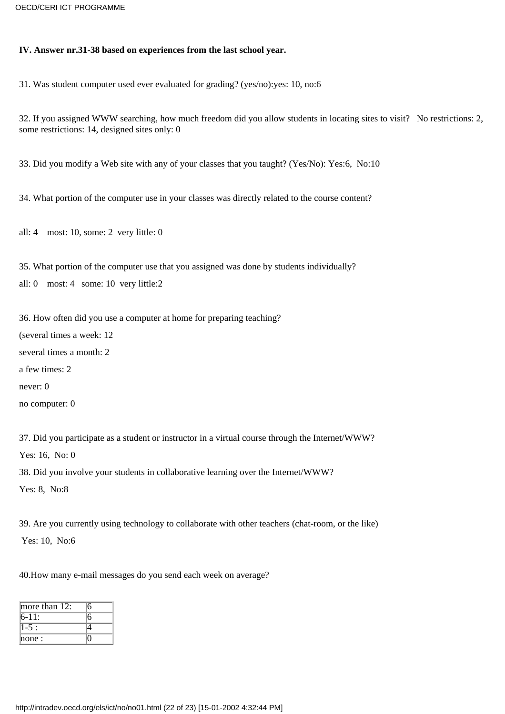# **IV. Answer nr.31-38 based on experiences from the last school year.**

31. Was student computer used ever evaluated for grading? (yes/no):yes: 10, no:6

32. If you assigned WWW searching, how much freedom did you allow students in locating sites to visit? No restrictions: 2, some restrictions: 14, designed sites only: 0

33. Did you modify a Web site with any of your classes that you taught? (Yes/No): Yes:6, No:10

34. What portion of the computer use in your classes was directly related to the course content?

all: 4 most: 10, some: 2 very little: 0

35. What portion of the computer use that you assigned was done by students individually? all: 0 most: 4 some: 10 very little:2

36. How often did you use a computer at home for preparing teaching?

(several times a week: 12

several times a month: 2

a few times: 2

never: 0

no computer: 0

37. Did you participate as a student or instructor in a virtual course through the Internet/WWW?

Yes: 16, No: 0

38. Did you involve your students in collaborative learning over the Internet/WWW?

Yes: 8, No:8

39. Are you currently using technology to collaborate with other teachers (chat-room, or the like) Yes: 10, No:6

40.How many e-mail messages do you send each week on average?

| more than $12$ : |  |
|------------------|--|
| 6-11:            |  |
|                  |  |
| none:            |  |